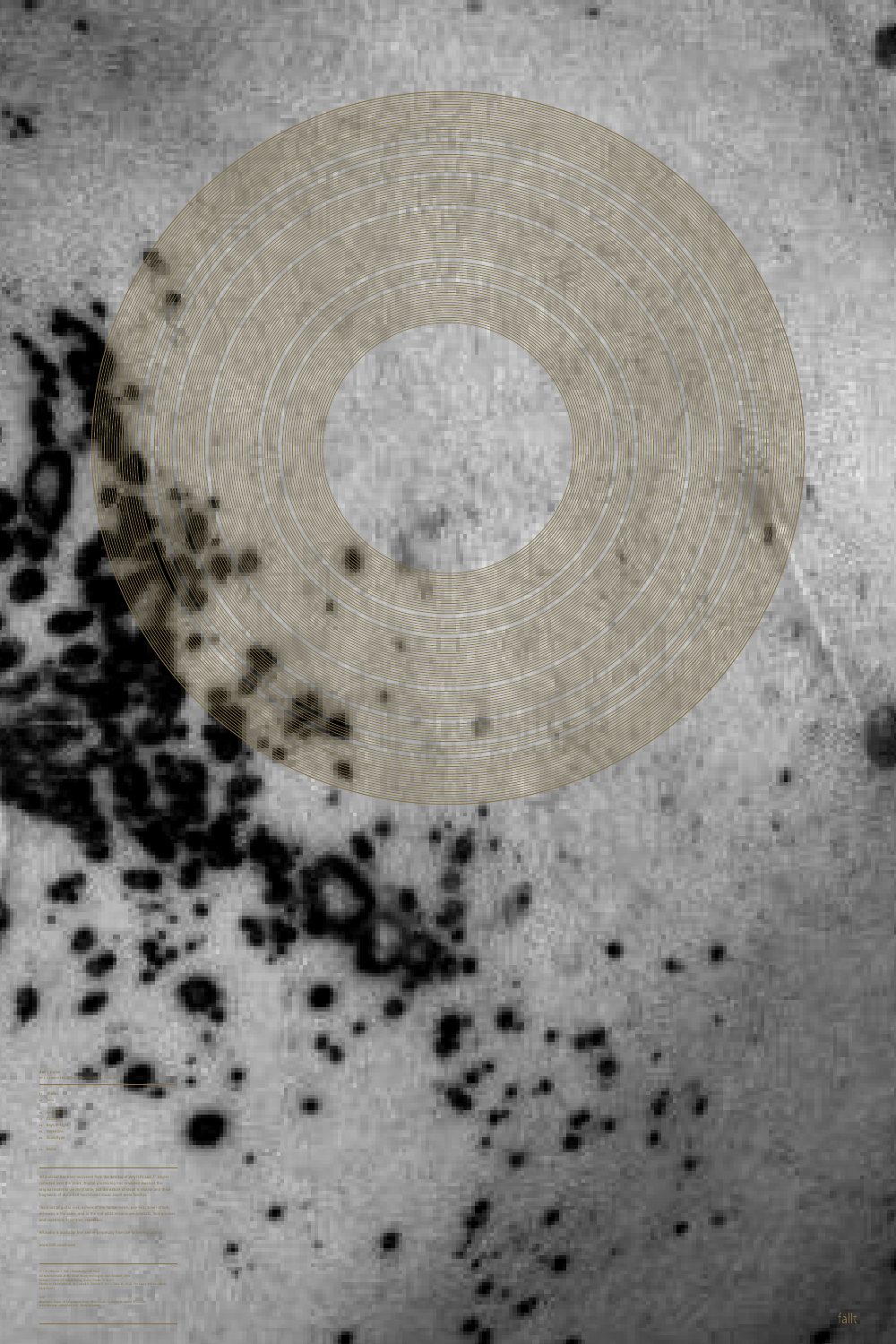Fällt™ Blessington House, 18 Ballynahinch Street, Hillsborough, Co. Down, N. Ireland, BT26 6AW www.fallt.com info@fallt.com Made in Ireland

©+® 2008 Aut + Fällt | Published by Fällt Music All material made at the Green Room, Wellington, New Zealand, 2000. Design | Fehler (Cf. Derek Bailey, Guitar, Drums 'n' Bass') Thanks to Christopher M, W. Conrad R, Duncan B, Eric L, Dave W, All @ The Space and everybody back Home!



## **<sup>01</sup>** Shellac **<sup>02</sup>** Sero **<sup>03</sup>** Grey-White **<sup>03</sup>** Pacified **<sup>04</sup>** Bays in Light **<sup>05</sup>** Argentine **<sup>06</sup>** Soundtype **<sup>07</sup>** Home **Aut** | Home  $MP3 + Limited Ed$

All material has been recovered from the detritus of vinyl LPs and 7" singles collected over the years. Digital processing has rendered much of the original material unidentifiable, but the nature of recall is elusive and these fragments of discarded much-loved music could seem familiar.

The blast of guitar rock, echoes of the human voice, pop-hits, avant-attack. All music is the same, and in the end what remains are artefacts, lock-grooves and repetition, repetition, repetition…

All audio is available free and in perpetuity from the following location:

www.fallt.com/home